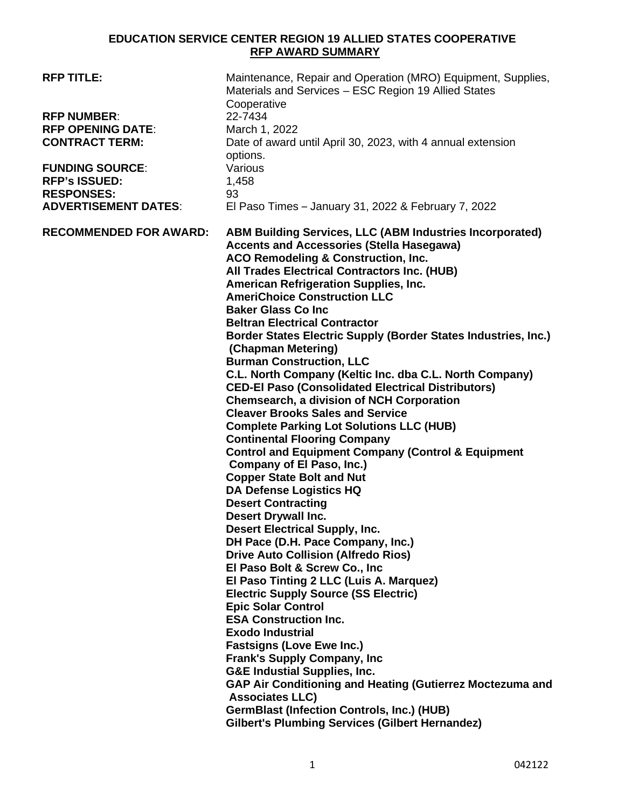## **EDUCATION SERVICE CENTER REGION 19 ALLIED STATES COOPERATIVE RFP AWARD SUMMARY**

| <b>RFP TITLE:</b><br><b>RFP NUMBER:</b><br><b>RFP OPENING DATE:</b><br><b>CONTRACT TERM:</b><br><b>FUNDING SOURCE:</b><br><b>RFP's ISSUED:</b><br><b>RESPONSES:</b><br><b>ADVERTISEMENT DATES:</b> | Maintenance, Repair and Operation (MRO) Equipment, Supplies,<br>Materials and Services - ESC Region 19 Allied States<br>Cooperative<br>22-7434<br>March 1, 2022<br>Date of award until April 30, 2023, with 4 annual extension<br>options.<br>Various<br>1,458<br>93<br>El Paso Times - January 31, 2022 & February 7, 2022                                                                                                                                                                                                                                                                                                                                                                                                                                                                                                                                                                                                                                                                                                                                                                                                                                                                                                                                                                                                                                                                                                                                                                                                                                                                                                                                                                                                        |
|----------------------------------------------------------------------------------------------------------------------------------------------------------------------------------------------------|------------------------------------------------------------------------------------------------------------------------------------------------------------------------------------------------------------------------------------------------------------------------------------------------------------------------------------------------------------------------------------------------------------------------------------------------------------------------------------------------------------------------------------------------------------------------------------------------------------------------------------------------------------------------------------------------------------------------------------------------------------------------------------------------------------------------------------------------------------------------------------------------------------------------------------------------------------------------------------------------------------------------------------------------------------------------------------------------------------------------------------------------------------------------------------------------------------------------------------------------------------------------------------------------------------------------------------------------------------------------------------------------------------------------------------------------------------------------------------------------------------------------------------------------------------------------------------------------------------------------------------------------------------------------------------------------------------------------------------|
| <b>RECOMMENDED FOR AWARD:</b>                                                                                                                                                                      | <b>ABM Building Services, LLC (ABM Industries Incorporated)</b><br><b>Accents and Accessories (Stella Hasegawa)</b><br><b>ACO Remodeling &amp; Construction, Inc.</b><br><b>All Trades Electrical Contractors Inc. (HUB)</b><br>American Refrigeration Supplies, Inc.<br><b>AmeriChoice Construction LLC</b><br><b>Baker Glass Co Inc.</b><br><b>Beltran Electrical Contractor</b><br>Border States Electric Supply (Border States Industries, Inc.)<br>(Chapman Metering)<br><b>Burman Construction, LLC</b><br>C.L. North Company (Keltic Inc. dba C.L. North Company)<br><b>CED-El Paso (Consolidated Electrical Distributors)</b><br>Chemsearch, a division of NCH Corporation<br><b>Cleaver Brooks Sales and Service</b><br><b>Complete Parking Lot Solutions LLC (HUB)</b><br><b>Continental Flooring Company</b><br><b>Control and Equipment Company (Control &amp; Equipment</b><br>Company of El Paso, Inc.)<br><b>Copper State Bolt and Nut</b><br><b>DA Defense Logistics HQ</b><br><b>Desert Contracting</b><br><b>Desert Drywall Inc.</b><br><b>Desert Electrical Supply, Inc.</b><br>DH Pace (D.H. Pace Company, Inc.)<br><b>Drive Auto Collision (Alfredo Rios)</b><br>El Paso Bolt & Screw Co., Inc.<br>El Paso Tinting 2 LLC (Luis A. Marquez)<br><b>Electric Supply Source (SS Electric)</b><br><b>Epic Solar Control</b><br><b>ESA Construction Inc.</b><br><b>Exodo Industrial</b><br><b>Fastsigns (Love Ewe Inc.)</b><br><b>Frank's Supply Company, Inc.</b><br><b>G&amp;E Industial Supplies, Inc.</b><br>GAP Air Conditioning and Heating (Gutierrez Moctezuma and<br><b>Associates LLC)</b><br><b>GermBlast (Infection Controls, Inc.) (HUB)</b><br><b>Gilbert's Plumbing Services (Gilbert Hernandez)</b> |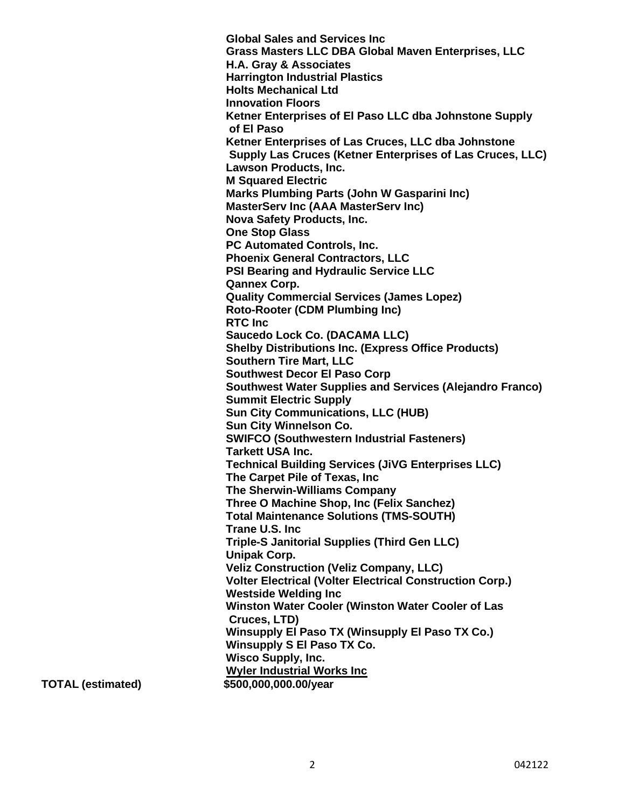**Global Sales and Services Inc Grass Masters LLC DBA Global Maven Enterprises, LLC H.A. Gray & Associates Harrington Industrial Plastics Holts Mechanical Ltd Innovation Floors Ketner Enterprises of El Paso LLC dba Johnstone Supply of El Paso Ketner Enterprises of Las Cruces, LLC dba Johnstone Supply Las Cruces (Ketner Enterprises of Las Cruces, LLC) Lawson Products, Inc. M Squared Electric Marks Plumbing Parts (John W Gasparini Inc) MasterServ Inc (AAA MasterServ Inc) Nova Safety Products, Inc. One Stop Glass PC Automated Controls, Inc. Phoenix General Contractors, LLC PSI Bearing and Hydraulic Service LLC Qannex Corp. Quality Commercial Services (James Lopez) Roto-Rooter (CDM Plumbing Inc) RTC Inc Saucedo Lock Co. (DACAMA LLC) Shelby Distributions Inc. (Express Office Products) Southern Tire Mart, LLC Southwest Decor El Paso Corp Southwest Water Supplies and Services (Alejandro Franco) Summit Electric Supply Sun City Communications, LLC (HUB) Sun City Winnelson Co. SWIFCO (Southwestern Industrial Fasteners) Tarkett USA Inc. Technical Building Services (JiVG Enterprises LLC) The Carpet Pile of Texas, Inc The Sherwin-Williams Company Three O Machine Shop, Inc (Felix Sanchez) Total Maintenance Solutions (TMS-SOUTH) Trane U.S. Inc Triple-S Janitorial Supplies (Third Gen LLC) Unipak Corp. Veliz Construction (Veliz Company, LLC) Volter Electrical (Volter Electrical Construction Corp.) Westside Welding Inc Winston Water Cooler (Winston Water Cooler of Las Cruces, LTD) Winsupply El Paso TX (Winsupply El Paso TX Co.) Winsupply S El Paso TX Co. Wisco Supply, Inc. Wyler Industrial Works Inc TOTAL (estimated) \$500,000,000.00/year**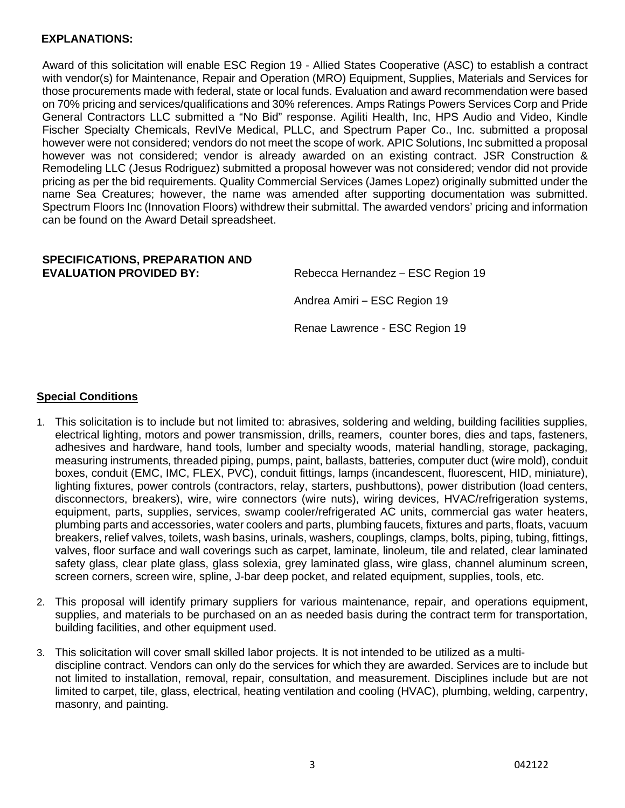## **EXPLANATIONS:**

Award of this solicitation will enable ESC Region 19 - Allied States Cooperative (ASC) to establish a contract with vendor(s) for Maintenance, Repair and Operation (MRO) Equipment, Supplies, Materials and Services for those procurements made with federal, state or local funds. Evaluation and award recommendation were based on 70% pricing and services/qualifications and 30% references. Amps Ratings Powers Services Corp and Pride General Contractors LLC submitted a "No Bid" response. Agiliti Health, Inc, HPS Audio and Video, Kindle Fischer Specialty Chemicals, RevIVe Medical, PLLC, and Spectrum Paper Co., Inc. submitted a proposal however were not considered; vendors do not meet the scope of work. APIC Solutions, Inc submitted a proposal however was not considered; vendor is already awarded on an existing contract. JSR Construction & Remodeling LLC (Jesus Rodriguez) submitted a proposal however was not considered; vendor did not provide pricing as per the bid requirements. Quality Commercial Services (James Lopez) originally submitted under the name Sea Creatures; however, the name was amended after supporting documentation was submitted. Spectrum Floors Inc (Innovation Floors) withdrew their submittal. The awarded vendors' pricing and information can be found on the Award Detail spreadsheet.

## **SPECIFICATIONS, PREPARATION AND EVALUATION PROVIDED BY:** Rebecca Hernandez – ESC Region 19

Andrea Amiri – ESC Region 19

Renae Lawrence - ESC Region 19

## **Special Conditions**

- 1. This solicitation is to include but not limited to: abrasives, soldering and welding, building facilities supplies, electrical lighting, motors and power transmission, drills, reamers, counter bores, dies and taps, fasteners, adhesives and hardware, hand tools, lumber and specialty woods, material handling, storage, packaging, measuring instruments, threaded piping, pumps, paint, ballasts, batteries, computer duct (wire mold), conduit boxes, conduit (EMC, IMC, FLEX, PVC), conduit fittings, lamps (incandescent, fluorescent, HID, miniature), lighting fixtures, power controls (contractors, relay, starters, pushbuttons), power distribution (load centers, disconnectors, breakers), wire, wire connectors (wire nuts), wiring devices, HVAC/refrigeration systems, equipment, parts, supplies, services, swamp cooler/refrigerated AC units, commercial gas water heaters, plumbing parts and accessories, water coolers and parts, plumbing faucets, fixtures and parts, floats, vacuum breakers, relief valves, toilets, wash basins, urinals, washers, couplings, clamps, bolts, piping, tubing, fittings, valves, floor surface and wall coverings such as carpet, laminate, linoleum, tile and related, clear laminated safety glass, clear plate glass, glass solexia, grey laminated glass, wire glass, channel aluminum screen, screen corners, screen wire, spline, J-bar deep pocket, and related equipment, supplies, tools, etc.
- 2. This proposal will identify primary suppliers for various maintenance, repair, and operations equipment, supplies, and materials to be purchased on an as needed basis during the contract term for transportation, building facilities, and other equipment used.
- 3. This solicitation will cover small skilled labor projects. It is not intended to be utilized as a multidiscipline contract. Vendors can only do the services for which they are awarded. Services are to include but not limited to installation, removal, repair, consultation, and measurement. Disciplines include but are not limited to carpet, tile, glass, electrical, heating ventilation and cooling (HVAC), plumbing, welding, carpentry, masonry, and painting.